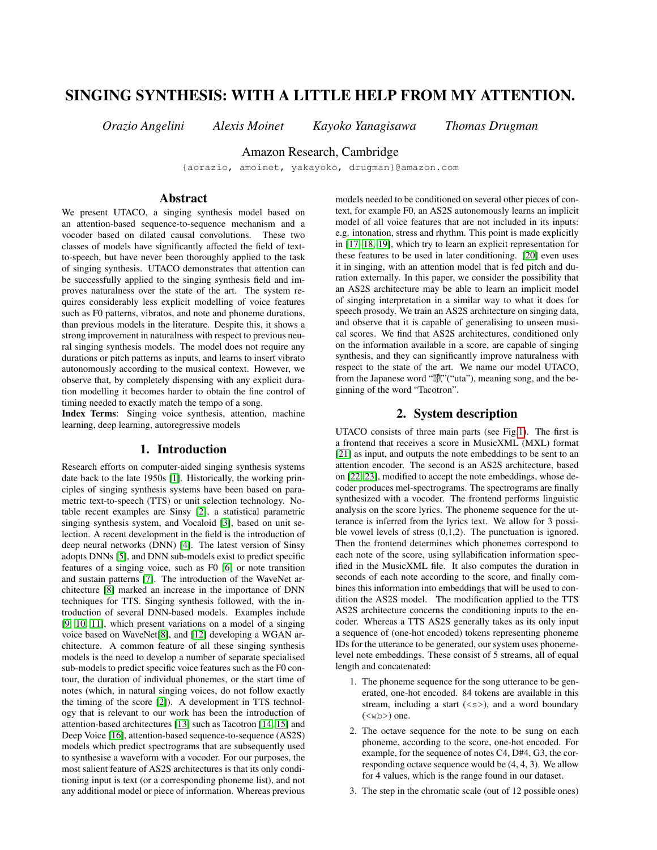# SINGING SYNTHESIS: WITH A LITTLE HELP FROM MY ATTENTION.

*Orazio Angelini Alexis Moinet Kayoko Yanagisawa Thomas Drugman*

Amazon Research, Cambridge

{aorazio, amoinet, yakayoko, drugman}@amazon.com

# Abstract

We present UTACO, a singing synthesis model based on an attention-based sequence-to-sequence mechanism and a vocoder based on dilated causal convolutions. These two classes of models have significantly affected the field of textto-speech, but have never been thoroughly applied to the task of singing synthesis. UTACO demonstrates that attention can be successfully applied to the singing synthesis field and improves naturalness over the state of the art. The system requires considerably less explicit modelling of voice features such as F0 patterns, vibratos, and note and phoneme durations, than previous models in the literature. Despite this, it shows a strong improvement in naturalness with respect to previous neural singing synthesis models. The model does not require any durations or pitch patterns as inputs, and learns to insert vibrato autonomously according to the musical context. However, we observe that, by completely dispensing with any explicit duration modelling it becomes harder to obtain the fine control of timing needed to exactly match the tempo of a song.

Index Terms: Singing voice synthesis, attention, machine learning, deep learning, autoregressive models

# 1. Introduction

Research efforts on computer-aided singing synthesis systems date back to the late 1950s [\[1\]](#page-3-0). Historically, the working principles of singing synthesis systems have been based on parametric text-to-speech (TTS) or unit selection technology. Notable recent examples are Sinsy [\[2\]](#page-4-0), a statistical parametric singing synthesis system, and Vocaloid [\[3\]](#page-4-1), based on unit selection. A recent development in the field is the introduction of deep neural networks (DNN) [\[4\]](#page-4-2). The latest version of Sinsy adopts DNNs [\[5\]](#page-4-3), and DNN sub-models exist to predict specific features of a singing voice, such as F0 [\[6\]](#page-4-4) or note transition and sustain patterns [\[7\]](#page-4-5). The introduction of the WaveNet architecture [\[8\]](#page-4-6) marked an increase in the importance of DNN techniques for TTS. Singing synthesis followed, with the introduction of several DNN-based models. Examples include [\[9,](#page-4-7) [10,](#page-4-8) [11\]](#page-4-9), which present variations on a model of a singing voice based on WaveNet[\[8\]](#page-4-6), and [\[12\]](#page-4-10) developing a WGAN architecture. A common feature of all these singing synthesis models is the need to develop a number of separate specialised sub-models to predict specific voice features such as the F0 contour, the duration of individual phonemes, or the start time of notes (which, in natural singing voices, do not follow exactly the timing of the score [\[2\]](#page-4-0)). A development in TTS technology that is relevant to our work has been the introduction of attention-based architectures [\[13\]](#page-4-11) such as Tacotron [\[14,](#page-4-12) [15\]](#page-4-13) and Deep Voice [\[16\]](#page-4-14), attention-based sequence-to-sequence (AS2S) models which predict spectrograms that are subsequently used to synthesise a waveform with a vocoder. For our purposes, the most salient feature of AS2S architectures is that its only conditioning input is text (or a corresponding phoneme list), and not any additional model or piece of information. Whereas previous models needed to be conditioned on several other pieces of context, for example F0, an AS2S autonomously learns an implicit model of all voice features that are not included in its inputs: e.g. intonation, stress and rhythm. This point is made explicitly in [\[17,](#page-4-15) [18,](#page-4-16) [19\]](#page-4-17), which try to learn an explicit representation for these features to be used in later conditioning. [\[20\]](#page-4-18) even uses it in singing, with an attention model that is fed pitch and duration externally. In this paper, we consider the possibility that an AS2S architecture may be able to learn an implicit model of singing interpretation in a similar way to what it does for speech prosody. We train an AS2S architecture on singing data, and observe that it is capable of generalising to unseen musical scores. We find that AS2S architectures, conditioned only on the information available in a score, are capable of singing synthesis, and they can significantly improve naturalness with respect to the state of the art. We name our model UTACO, from the Japanese word "歌"("uta"), meaning song, and the beginning of the word "Tacotron".

# 2. System description

<span id="page-0-0"></span>UTACO consists of three main parts (see Fig[.1\)](#page-1-0). The first is a frontend that receives a score in MusicXML (MXL) format [\[21\]](#page-4-19) as input, and outputs the note embeddings to be sent to an attention encoder. The second is an AS2S architecture, based on [\[22,](#page-4-20) [23\]](#page-4-21), modified to accept the note embeddings, whose decoder produces mel-spectrograms. The spectrograms are finally synthesized with a vocoder. The frontend performs linguistic analysis on the score lyrics. The phoneme sequence for the utterance is inferred from the lyrics text. We allow for 3 possible vowel levels of stress  $(0,1,2)$ . The punctuation is ignored. Then the frontend determines which phonemes correspond to each note of the score, using syllabification information specified in the MusicXML file. It also computes the duration in seconds of each note according to the score, and finally combines this information into embeddings that will be used to condition the AS2S model. The modification applied to the TTS AS2S architecture concerns the conditioning inputs to the encoder. Whereas a TTS AS2S generally takes as its only input a sequence of (one-hot encoded) tokens representing phoneme IDs for the utterance to be generated, our system uses phonemelevel note embeddings. These consist of 5 streams, all of equal length and concatenated:

- 1. The phoneme sequence for the song utterance to be generated, one-hot encoded. 84 tokens are available in this stream, including a start  $(\langle s \rangle)$ , and a word boundary  $(<sub>wb</sub>)$  one.
- 2. The octave sequence for the note to be sung on each phoneme, according to the score, one-hot encoded. For example, for the sequence of notes C4, D#4, G3, the corresponding octave sequence would be (4, 4, 3). We allow for 4 values, which is the range found in our dataset.
- 3. The step in the chromatic scale (out of 12 possible ones)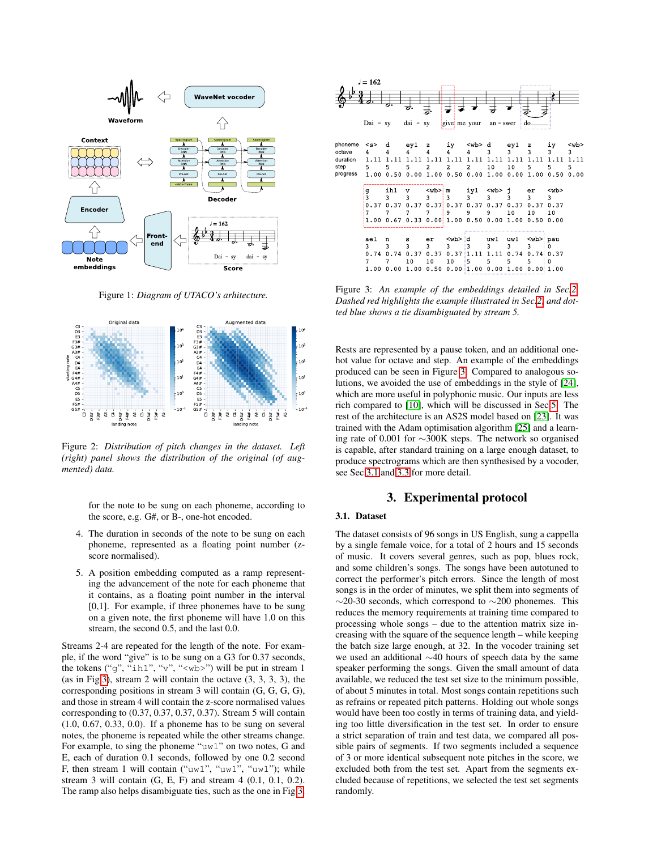<span id="page-1-0"></span>

Figure 1: *Diagram of UTACO's arhitecture.*

<span id="page-1-3"></span>

Figure 2: *Distribution of pitch changes in the dataset. Left (right) panel shows the distribution of the original (of augmented) data.*

for the note to be sung on each phoneme, according to the score, e.g. G#, or B-, one-hot encoded.

- 4. The duration in seconds of the note to be sung on each phoneme, represented as a floating point number (zscore normalised).
- 5. A position embedding computed as a ramp representing the advancement of the note for each phoneme that it contains, as a floating point number in the interval [0,1]. For example, if three phonemes have to be sung on a given note, the first phoneme will have 1.0 on this stream, the second 0.5, and the last 0.0.

Streams 2-4 are repeated for the length of the note. For example, if the word "give" is to be sung on a G3 for 0.37 seconds, the tokens ("g", "ih1", "v", "<wb>") will be put in stream 1 (as in Fig[.3\)](#page-1-1), stream 2 will contain the octave (3, 3, 3, 3), the corresponding positions in stream 3 will contain (G, G, G, G), and those in stream 4 will contain the z-score normalised values corresponding to (0.37, 0.37, 0.37, 0.37). Stream 5 will contain (1.0, 0.67, 0.33, 0.0). If a phoneme has to be sung on several notes, the phoneme is repeated while the other streams change. For example, to sing the phoneme "uw1" on two notes, G and E, each of duration 0.1 seconds, followed by one 0.2 second F, then stream 1 will contain ("uw1", "uw1", "uw1"); while stream 3 will contain (G, E, F) and stream 4 (0.1, 0.1, 0.2). The ramp also helps disambiguate ties, such as the one in Fig[.3.](#page-1-1)

<span id="page-1-1"></span>

Figure 3: *An example of the embeddings detailed in Sec[.2.](#page-0-0) Dashed red highlights the example illustrated in Sec[.2,](#page-0-0) and dotted blue shows a tie disambiguated by stream 5.*

Rests are represented by a pause token, and an additional onehot value for octave and step. An example of the embeddings produced can be seen in Figure [3.](#page-1-1) Compared to analogous solutions, we avoided the use of embeddings in the style of [\[24\]](#page-4-22), which are more useful in polyphonic music. Our inputs are less rich compared to [\[10\]](#page-4-8), which will be discussed in Sec[.5.](#page-3-1) The rest of the architecture is an AS2S model based on [\[23\]](#page-4-21). It was trained with the Adam optimisation algorithm [\[25\]](#page-4-23) and a learning rate of 0.001 for ∼300K steps. The network so organised is capable, after standard training on a large enough dataset, to produce spectrograms which are then synthesised by a vocoder, see Sec[.3.1](#page-1-2) and [3.3](#page-2-0) for more detail.

### 3. Experimental protocol

### <span id="page-1-2"></span>3.1. Dataset

The dataset consists of 96 songs in US English, sung a cappella by a single female voice, for a total of 2 hours and 15 seconds of music. It covers several genres, such as pop, blues rock, and some children's songs. The songs have been autotuned to correct the performer's pitch errors. Since the length of most songs is in the order of minutes, we split them into segments of ∼20-30 seconds, which correspond to ∼200 phonemes. This reduces the memory requirements at training time compared to processing whole songs – due to the attention matrix size increasing with the square of the sequence length – while keeping the batch size large enough, at 32. In the vocoder training set we used an additional ∼40 hours of speech data by the same speaker performing the songs. Given the small amount of data available, we reduced the test set size to the minimum possible, of about 5 minutes in total. Most songs contain repetitions such as refrains or repeated pitch patterns. Holding out whole songs would have been too costly in terms of training data, and yielding too little diversification in the test set. In order to ensure a strict separation of train and test data, we compared all possible pairs of segments. If two segments included a sequence of 3 or more identical subsequent note pitches in the score, we excluded both from the test set. Apart from the segments excluded because of repetitions, we selected the test set segments randomly.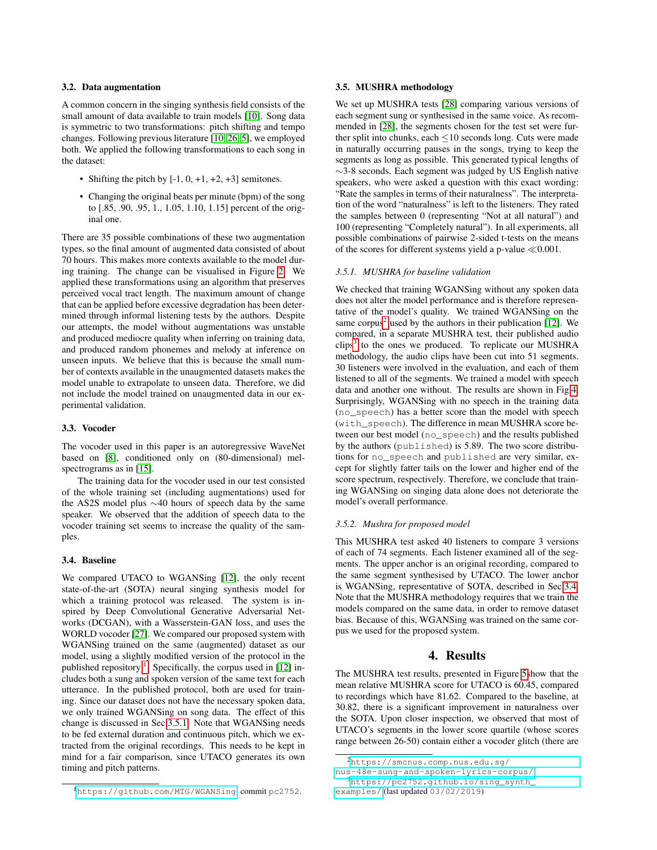#### 3.2. Data augmentation

A common concern in the singing synthesis field consists of the small amount of data available to train models [\[10\]](#page-4-8). Song data is symmetric to two transformations: pitch shifting and tempo changes. Following previous literature [\[10,](#page-4-8) [26,](#page-4-24) [5\]](#page-4-3), we employed both. We applied the following transformations to each song in the dataset:

- Shifting the pitch by  $[-1, 0, +1, +2, +3]$  semitones.
- Changing the original beats per minute (bpm) of the song to [.85, .90, .95, 1., 1.05, 1.10, 1.15] percent of the original one.

There are 35 possible combinations of these two augmentation types, so the final amount of augmented data consisted of about 70 hours. This makes more contexts available to the model during training. The change can be visualised in Figure [2.](#page-1-3) We applied these transformations using an algorithm that preserves perceived vocal tract length. The maximum amount of change that can be applied before excessive degradation has been determined through informal listening tests by the authors. Despite our attempts, the model without augmentations was unstable and produced mediocre quality when inferring on training data, and produced random phonemes and melody at inference on unseen inputs. We believe that this is because the small number of contexts available in the unaugmented datasets makes the model unable to extrapolate to unseen data. Therefore, we did not include the model trained on unaugmented data in our experimental validation.

#### <span id="page-2-0"></span>3.3. Vocoder

The vocoder used in this paper is an autoregressive WaveNet based on [\[8\]](#page-4-6), conditioned only on (80-dimensional) mel-spectrograms as in [\[15\]](#page-4-13).

The training data for the vocoder used in our test consisted of the whole training set (including augmentations) used for the AS2S model plus ∼40 hours of speech data by the same speaker. We observed that the addition of speech data to the vocoder training set seems to increase the quality of the samples.

#### <span id="page-2-5"></span>3.4. Baseline

We compared UTACO to WGANSing [\[12\]](#page-4-10), the only recent state-of-the-art (SOTA) neural singing synthesis model for which a training protocol was released. The system is inspired by Deep Convolutional Generative Adversarial Networks (DCGAN), with a Wasserstein-GAN loss, and uses the WORLD vocoder [\[27\]](#page-4-25). We compared our proposed system with WGANSing trained on the same (augmented) dataset as our model, using a slightly modified version of the protocol in the published repository<sup>[1](#page-2-1)</sup>. Specifically, the corpus used in [\[12\]](#page-4-10) includes both a sung and spoken version of the same text for each utterance. In the published protocol, both are used for training. Since our dataset does not have the necessary spoken data, we only trained WGANSing on song data. The effect of this change is discussed in Sec[.3.5.1.](#page-2-2) Note that WGANSing needs to be fed external duration and continuous pitch, which we extracted from the original recordings. This needs to be kept in mind for a fair comparison, since UTACO generates its own timing and pitch patterns.

#### 3.5. MUSHRA methodology

We set up MUSHRA tests [\[28\]](#page-4-26) comparing various versions of each segment sung or synthesised in the same voice. As recommended in [\[28\]](#page-4-26), the segments chosen for the test set were further split into chunks, each ≤10 seconds long. Cuts were made in naturally occurring pauses in the songs, trying to keep the segments as long as possible. This generated typical lengths of ∼3-8 seconds. Each segment was judged by US English native speakers, who were asked a question with this exact wording: "Rate the samples in terms of their naturalness". The interpretation of the word "naturalness" is left to the listeners. They rated the samples between 0 (representing "Not at all natural") and 100 (representing "Completely natural"). In all experiments, all possible combinations of pairwise 2-sided t-tests on the means of the scores for different systems yield a p-value  $\ll 0.001$ .

#### <span id="page-2-2"></span>*3.5.1. MUSHRA for baseline validation*

We checked that training WGANSing without any spoken data does not alter the model performance and is therefore representative of the model's quality. We trained WGANSing on the same corpus<sup>[2](#page-2-3)</sup> used by the authors in their publication [\[12\]](#page-4-10). We compared, in a separate MUSHRA test, their published audio  $\text{clips}^3$  $\text{clips}^3$  to the ones we produced. To replicate our MUSHRA methodology, the audio clips have been cut into 51 segments. 30 listeners were involved in the evaluation, and each of them listened to all of the segments. We trained a model with speech data and another one without. The results are shown in Fig[.4.](#page-3-2) Surprisingly, WGANSing with no speech in the training data (no\_speech) has a better score than the model with speech (with\_speech). The difference in mean MUSHRA score between our best model (no\_speech) and the results published by the authors (published) is 5.89. The two score distributions for no\_speech and published are very similar, except for slightly fatter tails on the lower and higher end of the score spectrum, respectively. Therefore, we conclude that training WGANSing on singing data alone does not deteriorate the model's overall performance.

#### *3.5.2. Mushra for proposed model*

This MUSHRA test asked 40 listeners to compare 3 versions of each of 74 segments. Each listener examined all of the segments. The upper anchor is an original recording, compared to the same segment synthesised by UTACO. The lower anchor is WGANSing, representative of SOTA, described in Sec[.3.4.](#page-2-5) Note that the MUSHRA methodology requires that we train the models compared on the same data, in order to remove dataset bias. Because of this, WGANSing was trained on the same corpus we used for the proposed system.

## 4. Results

The MUSHRA test results, presented in Figure [5s](#page-3-3)how that the mean relative MUSHRA score for UTACO is 60.45, compared to recordings which have 81.62. Compared to the baseline, at 30.82, there is a significant improvement in naturalness over the SOTA. Upon closer inspection, we observed that most of UTACO's segments in the lower score quartile (whose scores range between 26-50) contain either a vocoder glitch (there are

<span id="page-2-1"></span><sup>1</sup><https://github.com/MTG/WGANSing>, commit pc2752.

<span id="page-2-3"></span><sup>2</sup>[https://smcnus.comp.nus.edu.sg/](https://smcnus.comp.nus.edu.sg/nus-48e-sung-and-spoken-lyrics-corpus/)

[nus-48e-sung-and-spoken-lyrics-corpus/](https://smcnus.comp.nus.edu.sg/nus-48e-sung-and-spoken-lyrics-corpus/)

<span id="page-2-4"></span><sup>3</sup>[https://pc2752.github.io/sing\\_synth\\_](https://pc2752.github.io/sing_synth_examples/)

[examples/](https://pc2752.github.io/sing_synth_examples/) (last updated 03/02/2019)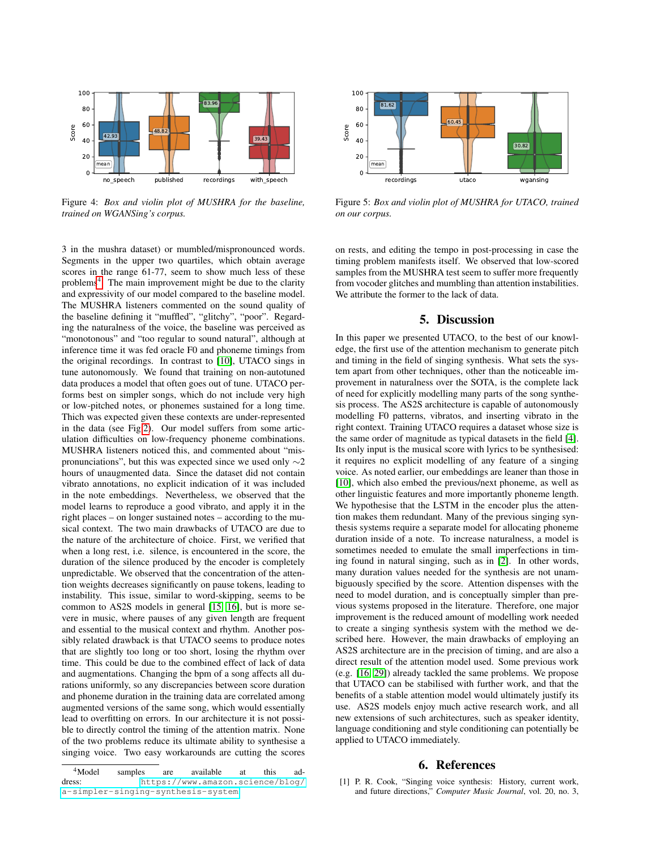<span id="page-3-2"></span>

Figure 4: *Box and violin plot of MUSHRA for the baseline, trained on WGANSing's corpus.*

3 in the mushra dataset) or mumbled/mispronounced words. Segments in the upper two quartiles, which obtain average scores in the range 61-77, seem to show much less of these problems<sup>[4](#page-3-4)</sup>. The main improvement might be due to the clarity and expressivity of our model compared to the baseline model. The MUSHRA listeners commented on the sound quality of the baseline defining it "muffled", "glitchy", "poor". Regarding the naturalness of the voice, the baseline was perceived as "monotonous" and "too regular to sound natural", although at inference time it was fed oracle F0 and phoneme timings from the original recordings. In contrast to [\[10\]](#page-4-8), UTACO sings in tune autonomously. We found that training on non-autotuned data produces a model that often goes out of tune. UTACO performs best on simpler songs, which do not include very high or low-pitched notes, or phonemes sustained for a long time. Thich was expected given these contexts are under-represented in the data (see Fig[.2\)](#page-1-3). Our model suffers from some articulation difficulties on low-frequency phoneme combinations. MUSHRA listeners noticed this, and commented about "mispronunciations", but this was expected since we used only  $\sim$ 2 hours of unaugmented data. Since the dataset did not contain vibrato annotations, no explicit indication of it was included in the note embeddings. Nevertheless, we observed that the model learns to reproduce a good vibrato, and apply it in the right places – on longer sustained notes – according to the musical context. The two main drawbacks of UTACO are due to the nature of the architecture of choice. First, we verified that when a long rest, i.e. silence, is encountered in the score, the duration of the silence produced by the encoder is completely unpredictable. We observed that the concentration of the attention weights decreases significantly on pause tokens, leading to instability. This issue, similar to word-skipping, seems to be common to AS2S models in general [\[15,](#page-4-13) [16\]](#page-4-14), but is more severe in music, where pauses of any given length are frequent and essential to the musical context and rhythm. Another possibly related drawback is that UTACO seems to produce notes that are slightly too long or too short, losing the rhythm over time. This could be due to the combined effect of lack of data and augmentations. Changing the bpm of a song affects all durations uniformly, so any discrepancies between score duration and phoneme duration in the training data are correlated among augmented versions of the same song, which would essentially lead to overfitting on errors. In our architecture it is not possible to directly control the timing of the attention matrix. None of the two problems reduce its ultimate ability to synthesise a singing voice. Two easy workarounds are cutting the scores

<span id="page-3-3"></span>

Figure 5: *Box and violin plot of MUSHRA for UTACO, trained on our corpus.*

on rests, and editing the tempo in post-processing in case the timing problem manifests itself. We observed that low-scored samples from the MUSHRA test seem to suffer more frequently from vocoder glitches and mumbling than attention instabilities. We attribute the former to the lack of data.

### 5. Discussion

<span id="page-3-1"></span>In this paper we presented UTACO, to the best of our knowledge, the first use of the attention mechanism to generate pitch and timing in the field of singing synthesis. What sets the system apart from other techniques, other than the noticeable improvement in naturalness over the SOTA, is the complete lack of need for explicitly modelling many parts of the song synthesis process. The AS2S architecture is capable of autonomously modelling F0 patterns, vibratos, and inserting vibrato in the right context. Training UTACO requires a dataset whose size is the same order of magnitude as typical datasets in the field [\[4\]](#page-4-2). Its only input is the musical score with lyrics to be synthesised: it requires no explicit modelling of any feature of a singing voice. As noted earlier, our embeddings are leaner than those in [\[10\]](#page-4-8), which also embed the previous/next phoneme, as well as other linguistic features and more importantly phoneme length. We hypothesise that the LSTM in the encoder plus the attention makes them redundant. Many of the previous singing synthesis systems require a separate model for allocating phoneme duration inside of a note. To increase naturalness, a model is sometimes needed to emulate the small imperfections in timing found in natural singing, such as in [\[2\]](#page-4-0). In other words, many duration values needed for the synthesis are not unambiguously specified by the score. Attention dispenses with the need to model duration, and is conceptually simpler than previous systems proposed in the literature. Therefore, one major improvement is the reduced amount of modelling work needed to create a singing synthesis system with the method we described here. However, the main drawbacks of employing an AS2S architecture are in the precision of timing, and are also a direct result of the attention model used. Some previous work (e.g. [\[16,](#page-4-14) [29\]](#page-4-27)) already tackled the same problems. We propose that UTACO can be stabilised with further work, and that the benefits of a stable attention model would ultimately justify its use. AS2S models enjoy much active research work, and all new extensions of such architectures, such as speaker identity, language conditioning and style conditioning can potentially be applied to UTACO immediately.

#### 6. References

<span id="page-3-0"></span>[1] P. R. Cook, "Singing voice synthesis: History, current work, and future directions," *Computer Music Journal*, vol. 20, no. 3,

<span id="page-3-4"></span><sup>4</sup>Model samples are available at this address: [https://www.amazon.science/blog/](https://www.amazon.science/blog/a-simpler-singing-synthesis-system) [a-simpler-singing-synthesis-system](https://www.amazon.science/blog/a-simpler-singing-synthesis-system).